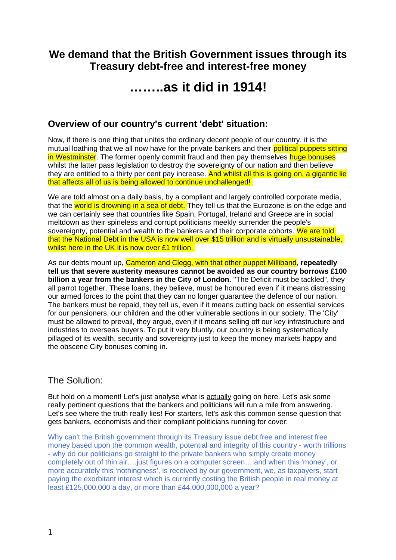# **We demand that the British Government issues through its Treasury debt-free and interest-free money**

# **……..as it did in 1914!**

# **Overview of our country's current 'debt' situation:**

Now, if there is one thing that unites the ordinary decent people of our country, it is the mutual loathing that we all now have for the private bankers and their political puppets sitting in Westminster. The former openly commit fraud and then pay themselves huge bonuses whilst the latter pass legislation to destroy the sovereignty of our nation and then believe they are entitled to a thirty per cent pay increase. And whilst all this is going on, a gigantic lie that affects all of us is being allowed to continue unchallenged!

We are told almost on a daily basis, by a compliant and largely controlled corporate media, that the world is drowning in a sea of debt. They tell us that the Eurozone is on the edge and we can certainly see that countries like Spain, Portugal, Ireland and Greece are in social meltdown as their spineless and corrupt politicians meekly surrender the people's sovereignty, potential and wealth to the bankers and their corporate cohorts. We are told that the National Debt in the USA is now well over \$15 trillion and is virtually unsustainable, whilst here in the UK it is now over £1 trillion.

As our debts mount up, Cameron and Clegg, with that other puppet Milliband, **repeatedly tell us that severe austerity measures cannot be avoided as our country borrows £100 billion a year from the bankers in the City of London.** "The Deficit must be tackled", they all parrot together. These loans, they believe, must be honoured even if it means distressing our armed forces to the point that they can no longer guarantee the defence of our nation. The bankers must be repaid, they tell us, even if it means cutting back on essential services for our pensioners, our children and the other vulnerable sections in our society. The 'City' must be allowed to prevail, they argue, even if it means selling off our key infrastructure and industries to overseas buyers. To put it very bluntly, our country is being systematically pillaged of its wealth, security and sovereignty just to keep the money markets happy and the obscene City bonuses coming in.

## The Solution:

But hold on a moment! Let's just analyse what is actually going on here. Let's ask some really pertinent questions that the bankers and politicians will run a mile from answering. Let's see where the truth really lies! For starters, let's ask this common sense question that gets bankers, economists and their compliant politicians running for cover:

Why can't the British government through its Treasury issue debt free and interest free money based upon the common wealth, potential and integrity of this country - worth trillions - why do our politicians go straight to the private bankers who simply create money completely out of thin air….just figures on a computer screen….and when this 'money', or more accurately this 'nothingness', is received by our government, we, as taxpayers, start paying the exorbitant interest which is currently costing the British people in real money at least £125,000,000 a day, or more than £44,000,000,000 a year?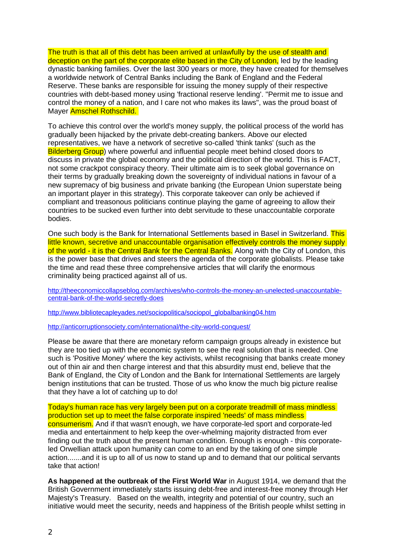The truth is that all of this debt has been arrived at unlawfully by the use of stealth and deception on the part of the corporate elite based in the City of London, led by the leading dynastic banking families. Over the last 300 years or more, they have created for themselves a worldwide network of Central Banks including the Bank of England and the Federal Reserve. These banks are responsible for issuing the money supply of their respective countries with debt-based money using 'fractional reserve lending'. "Permit me to issue and control the money of a nation, and I care not who makes its laws", was the proud boast of Mayer Amschel Rothschild.

To achieve this control over the world's money supply, the political process of the world has gradually been hijacked by the private debt-creating bankers. Above our elected representatives, we have a network of secretive so-called 'think tanks' (such as the Bilderberg Group) where powerful and influential people meet behind closed doors to discuss in private the global economy and the political direction of the world. This is FACT, not some crackpot conspiracy theory. Their ultimate aim is to seek global governance on their terms by gradually breaking down the sovereignty of individual nations in favour of a new supremacy of big business and private banking (the European Union superstate being an important player in this strategy). This corporate takeover can only be achieved if compliant and treasonous politicians continue playing the game of agreeing to allow their countries to be sucked even further into debt servitude to these unaccountable corporate bodies.

One such body is the Bank for International Settlements based in Basel in Switzerland. This little known, secretive and unaccountable organisation effectively controls the money supply of the world - it is the Central Bank for the Central Banks. Along with the City of London, this is the power base that drives and steers the agenda of the corporate globalists. Please take the time and read these three comprehensive articles that will clarify the enormous criminality being practiced against all of us.

[http://theeconomiccollapseblog.com/archives/who-controls-the-money-an-unelected-unaccountable](http://theeconomiccollapseblog.com/archives/who-controls-the-money-an-unelected-unaccountable-central-bank-of-the-world-secretly-does)[central-bank-of-the-world-secretly-does](http://theeconomiccollapseblog.com/archives/who-controls-the-money-an-unelected-unaccountable-central-bank-of-the-world-secretly-does)

[http://www.bibliotecapleyades.net/sociopolitica/sociopol\\_globalbanking04.htm](http://www.bibliotecapleyades.net/sociopolitica/sociopol_globalbanking04.htm)

<http://anticorruptionsociety.com/international/the-city-world-conquest/>

Please be aware that there are monetary reform campaign groups already in existence but they are too tied up with the economic system to see the real solution that is needed. One such is 'Positive Money' where the key activists, whilst recognising that banks create money out of thin air and then charge interest and that this absurdity must end, believe that the Bank of England, the City of London and the Bank for International Settlements are largely benign institutions that can be trusted. Those of us who know the much big picture realise that they have a lot of catching up to do!

#### Today's human race has very largely been put on a corporate treadmill of mass mindless production set up to meet the false corporate inspired 'needs' of mass mindless

consumerism. And if that wasn't enough, we have corporate-led sport and corporate-led media and entertainment to help keep the over-whelming majority distracted from ever finding out the truth about the present human condition. Enough is enough - this corporateled Orwellian attack upon humanity can come to an end by the taking of one simple action.......and it is up to all of us now to stand up and to demand that our political servants take that action!

**As happened at the outbreak of the First World War** in August 1914, we demand that the British Government immediately starts issuing debt-free and interest-free money through Her Majesty's Treasury. Based on the wealth, integrity and potential of our country, such an initiative would meet the security, needs and happiness of the British people whilst setting in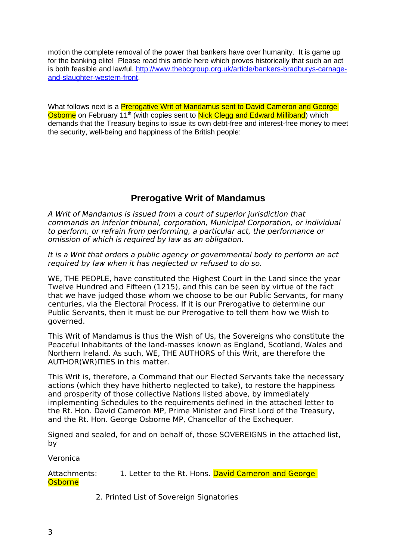motion the complete removal of the power that bankers have over humanity. It is game up for the banking elite! Please read this article here which proves historically that such an act is both feasible and lawful. [http://www.thebcgroup.org.uk/article/bankers-bradburys-carnage](http://www.thebcgroup.org.uk/article/bankers-bradburys-carnage-and-slaughter-western-front)[and-slaughter-western-front.](http://www.thebcgroup.org.uk/article/bankers-bradburys-carnage-and-slaughter-western-front)

What follows next is a **Prerogative Writ of Mandamus sent to David Cameron and George** Osborne on February  $11<sup>th</sup>$  (with copies sent to Nick Clegg and Edward Milliband) which demands that the Treasury begins to issue its own debt-free and interest-free money to meet the security, well-being and happiness of the British people:

# **Prerogative Writ of Mandamus**

A Writ of Mandamus is issued from a court of superior jurisdiction that commands an inferior tribunal, corporation, Municipal Corporation, or individual to perform, or refrain from performing, a particular act, the performance or omission of which is required by law as an obligation.

It is a Writ that orders a public agency or governmental body to perform an act required by law when it has neglected or refused to do so.

WE, THE PEOPLE, have constituted the Highest Court in the Land since the year Twelve Hundred and Fifteen (1215), and this can be seen by virtue of the fact that we have judged those whom we choose to be our Public Servants, for many centuries, via the Electoral Process. If it is our Prerogative to determine our Public Servants, then it must be our Prerogative to tell them how we Wish to governed.

This Writ of Mandamus is thus the Wish of Us, the Sovereigns who constitute the Peaceful Inhabitants of the land-masses known as England, Scotland, Wales and Northern Ireland. As such, WE, THE AUTHORS of this Writ, are therefore the AUTHOR(WR)ITIES in this matter.

This Writ is, therefore, a Command that our Elected Servants take the necessary actions (which they have hitherto neglected to take), to restore the happiness and prosperity of those collective Nations listed above, by immediately implementing Schedules to the requirements defined in the attached letter to the Rt. Hon. David Cameron MP, Prime Minister and First Lord of the Treasury, and the Rt. Hon. George Osborne MP, Chancellor of the Exchequer.

Signed and sealed, for and on behalf of, those SOVEREIGNS in the attached list, by

Veronica

Attachments: 1. Letter to the Rt. Hons. David Cameron and George **Osborne** 

2. Printed List of Sovereign Signatories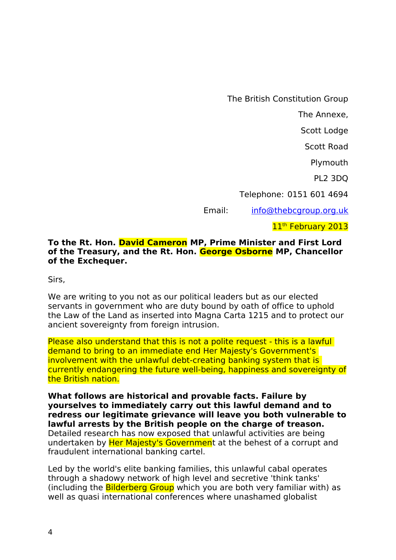The British Constitution Group

The Annexe,

Scott Lodge

Scott Road

Plymouth

PL2 3DQ

Telephone: 0151 601 4694

Email: [info@thebcgroup.org.uk](mailto:info@thebcgroup.org.uk)

11<sup>th</sup> February 2013

### **To the Rt. Hon. David Cameron MP, Prime Minister and First Lord of the Treasury, and the Rt. Hon. George Osborne MP, Chancellor of the Exchequer.**

Sirs,

We are writing to you not as our political leaders but as our elected servants in government who are duty bound by oath of office to uphold the Law of the Land as inserted into Magna Carta 1215 and to protect our ancient sovereignty from foreign intrusion.

Please also understand that this is not a polite request - this is a lawful demand to bring to an immediate end Her Majesty's Government's involvement with the unlawful debt-creating banking system that is currently endangering the future well-being, happiness and sovereignty of the British nation.

**What follows are historical and provable facts. Failure by yourselves to immediately carry out this lawful demand and to redress our legitimate grievance will leave you both vulnerable to lawful arrests by the British people on the charge of treason.**  Detailed research has now exposed that unlawful activities are being undertaken by Her Majesty's Government at the behest of a corrupt and fraudulent international banking cartel.

Led by the world's elite banking families, this unlawful cabal operates through a shadowy network of high level and secretive 'think tanks' (including the **Bilderberg Group** which you are both very familiar with) as well as quasi international conferences where unashamed globalist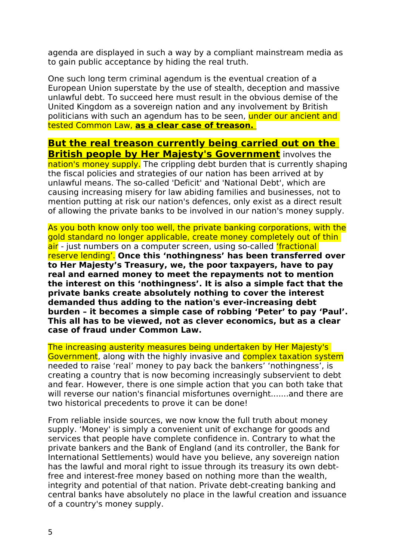agenda are displayed in such a way by a compliant mainstream media as to gain public acceptance by hiding the real truth.

One such long term criminal agendum is the eventual creation of a European Union superstate by the use of stealth, deception and massive unlawful debt. To succeed here must result in the obvious demise of the United Kingdom as a sovereign nation and any involvement by British politicians with such an agendum has to be seen, under our ancient and tested Common Law, **as a clear case of treason.** 

# **But the real treason currently being carried out on the British people by Her Majesty's Government** involves the

nation's money supply. The crippling debt burden that is currently shaping the fiscal policies and strategies of our nation has been arrived at by unlawful means. The so-called 'Deficit' and 'National Debt', which are causing increasing misery for law abiding families and businesses, not to mention putting at risk our nation's defences, only exist as a direct result of allowing the private banks to be involved in our nation's money supply.

As you both know only too well, the private banking corporations, with the gold standard no longer applicable, create money completely out of thin air - just numbers on a computer screen, using so-called 'fractional reserve lending'. **Once this 'nothingness' has been transferred over to Her Majesty's Treasury, we, the poor taxpayers, have to pay real and earned money to meet the repayments not to mention the interest on this 'nothingness'. It is also a simple fact that the private banks create absolutely nothing to cover the interest demanded thus adding to the nation's ever-increasing debt burden – it becomes a simple case of robbing 'Peter' to pay 'Paul'. This all has to be viewed, not as clever economics, but as a clear case of fraud under Common Law.**

The increasing austerity measures being undertaken by Her Majesty's Government, along with the highly invasive and complex taxation system needed to raise 'real' money to pay back the bankers' 'nothingness', is creating a country that is now becoming increasingly subservient to debt and fear. However, there is one simple action that you can both take that will reverse our nation's financial misfortunes overnight.......and there are two historical precedents to prove it can be done!

From reliable inside sources, we now know the full truth about money supply. 'Money' is simply a convenient unit of exchange for goods and services that people have complete confidence in. Contrary to what the private bankers and the Bank of England (and its controller, the Bank for International Settlements) would have you believe, any sovereign nation has the lawful and moral right to issue through its treasury its own debtfree and interest-free money based on nothing more than the wealth, integrity and potential of that nation. Private debt-creating banking and central banks have absolutely no place in the lawful creation and issuance of a country's money supply.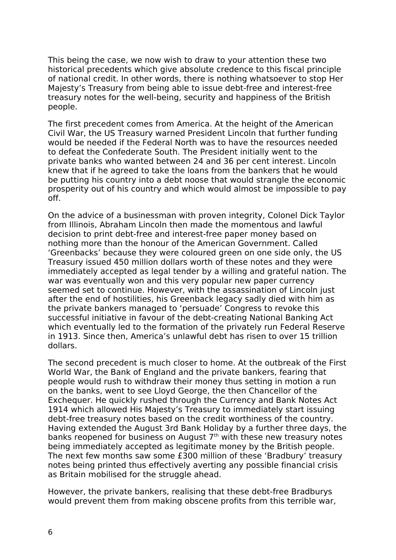This being the case, we now wish to draw to your attention these two historical precedents which give absolute credence to this fiscal principle of national credit. In other words, there is nothing whatsoever to stop Her Majesty's Treasury from being able to issue debt-free and interest-free treasury notes for the well-being, security and happiness of the British people.

The first precedent comes from America. At the height of the American Civil War, the US Treasury warned President Lincoln that further funding would be needed if the Federal North was to have the resources needed to defeat the Confederate South. The President initially went to the private banks who wanted between 24 and 36 per cent interest. Lincoln knew that if he agreed to take the loans from the bankers that he would be putting his country into a debt noose that would strangle the economic prosperity out of his country and which would almost be impossible to pay off.

On the advice of a businessman with proven integrity, Colonel Dick Taylor from Illinois, Abraham Lincoln then made the momentous and lawful decision to print debt-free and interest-free paper money based on nothing more than the honour of the American Government. Called 'Greenbacks' because they were coloured green on one side only, the US Treasury issued 450 million dollars worth of these notes and they were immediately accepted as legal tender by a willing and grateful nation. The war was eventually won and this very popular new paper currency seemed set to continue. However, with the assassination of Lincoln just after the end of hostilities, his Greenback legacy sadly died with him as the private bankers managed to 'persuade' Congress to revoke this successful initiative in favour of the debt-creating National Banking Act which eventually led to the formation of the privately run Federal Reserve in 1913. Since then, America's unlawful debt has risen to over 15 trillion dollars.

The second precedent is much closer to home. At the outbreak of the First World War, the Bank of England and the private bankers, fearing that people would rush to withdraw their money thus setting in motion a run on the banks, went to see Lloyd George, the then Chancellor of the Exchequer. He quickly rushed through the Currency and Bank Notes Act 1914 which allowed His Majesty's Treasury to immediately start issuing debt-free treasury notes based on the credit worthiness of the country. Having extended the August 3rd Bank Holiday by a further three days, the banks reopened for business on August 7<sup>th</sup> with these new treasury notes being immediately accepted as legitimate money by the British people. The next few months saw some £300 million of these 'Bradbury' treasury notes being printed thus effectively averting any possible financial crisis as Britain mobilised for the struggle ahead.

However, the private bankers, realising that these debt-free Bradburys would prevent them from making obscene profits from this terrible war,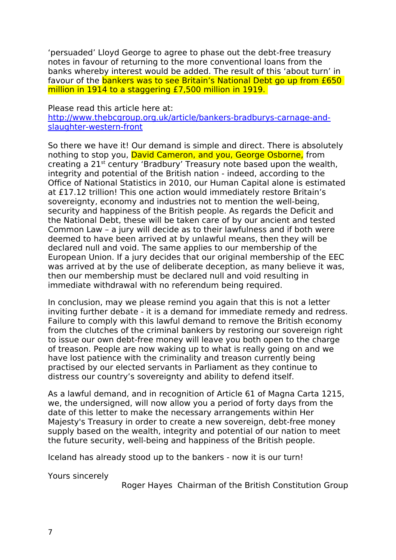'persuaded' Lloyd George to agree to phase out the debt-free treasury notes in favour of returning to the more conventional loans from the banks whereby interest would be added. The result of this 'about turn' in favour of the bankers was to see Britain's National Debt go up from £650 million in 1914 to a staggering £7,500 million in 1919.

Please read this article here at:

[http://www.thebcgroup.org.uk/article/bankers-bradburys-carnage-and](http://www.thebcgroup.org.uk/article/bankers-bradburys-carnage-and-slaughter-western-front)[slaughter-western-front](http://www.thebcgroup.org.uk/article/bankers-bradburys-carnage-and-slaughter-western-front)

So there we have it! Our demand is simple and direct. There is absolutely nothing to stop you, David Cameron, and you, George Osborne, from creating a 21st century 'Bradbury' Treasury note based upon the wealth, integrity and potential of the British nation - indeed, according to the Office of National Statistics in 2010, our Human Capital alone is estimated at £17.12 trillion! This one action would immediately restore Britain's sovereignty, economy and industries not to mention the well-being, security and happiness of the British people. As regards the Deficit and the National Debt, these will be taken care of by our ancient and tested Common Law – a jury will decide as to their lawfulness and if both were deemed to have been arrived at by unlawful means, then they will be declared null and void. The same applies to our membership of the European Union. If a jury decides that our original membership of the EEC was arrived at by the use of deliberate deception, as many believe it was, then our membership must be declared null and void resulting in immediate withdrawal with no referendum being required.

In conclusion, may we please remind you again that this is not a letter inviting further debate - it is a demand for immediate remedy and redress. Failure to comply with this lawful demand to remove the British economy from the clutches of the criminal bankers by restoring our sovereign right to issue our own debt-free money will leave you both open to the charge of treason. People are now waking up to what is really going on and we have lost patience with the criminality and treason currently being practised by our elected servants in Parliament as they continue to distress our country's sovereignty and ability to defend itself.

As a lawful demand, and in recognition of Article 61 of Magna Carta 1215, we, the undersigned, will now allow you a period of forty days from the date of this letter to make the necessary arrangements within Her Majesty's Treasury in order to create a new sovereign, debt-free money supply based on the wealth, integrity and potential of our nation to meet the future security, well-being and happiness of the British people.

Iceland has already stood up to the bankers - now it is our turn!

Yours sincerely

Roger Hayes Chairman of the British Constitution Group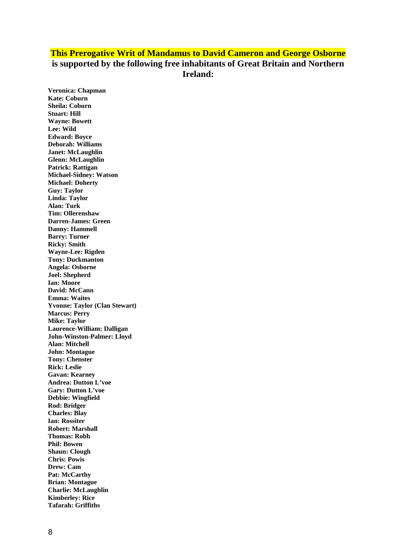## **This Prerogative Writ of Mandamus to David Cameron and George Osborne is supported by the following free inhabitants of Great Britain and Northern Ireland:**

**Veronica: Chapman Kate: Coburn Sheila: Coburn Stuart: Hill Wayne: Bowett Lee: Wild Edward: Boyce Deborah: Williams Janet: McLaughlin Glenn: McLaughlin Patrick: Rattigan Michael-Sidney: Watson Michael: Doherty Guy: Taylor Linda: Taylor Alan: Turk Tim: Ollerenshaw Darren-James: Green Danny: Hammell Barry: Turner Ricky: Smith Wayne-Lee: Rigden Tony: Duckmanton Angela: Osborne Joel: Shepherd Ian: Moore David: McCann Emma: Waites Yvonne: Taylor (Clan Stewart) Marcus: Perry Mike: Taylor Laurence-William: Dalligan John-Winston-Palmer: Lloyd Alan: Mitchell John: Montague Tony: Chenster Rick: Leslie Gavan: Kearney Andrea: Dutton L'voe Gary: Dutton L'voe Debbie: Wingfield Rod: Bridger Charles: Blay Ian: Rossiter Robert: Marshall Thomas: Robb Phil: Bowen Shaun: Clough Chris: Powis Drew: Cam Pat: McCarthy Brian: Montague Charlie: McLaughlin Kimberley: Rice Tafarah: Griffiths**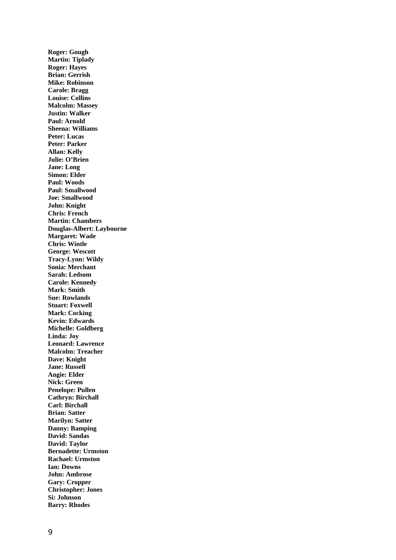**Roger: Gough Martin: Tiplady Roger: Hayes Brian: Gerrish Mike: Robinson Carole: Bragg Louise: Collins Malcolm: Massey Justin: Walker Paul: Arnold Sheena: Williams Peter: Lucas Peter: Parker Allan: Kelly Julie: O'Brien Jane: Long Simon: Elder Paul: Woods Paul: Smallwood Joe: Smallwood John: Knight Chris: French Martin: Chambers Douglas-Albert: Laybourne Margaret: Wade Chris: Wintle George: Wescott Tracy-Lynn: Wildy Sonia: Merchant Sarah: Ledsom Carole: Kennedy Mark: Smith Sue: Rowlands Stuart: Foxwell Mark: Cocking Kevin: Edwards Michelle: Goldberg Linda: Joy Leonard: Lawrence Malcolm: Treacher Dave: Knight Jane: Russell Angie: Elder Nick: Green Penelope: Pullen Cathryn: Birchall Carl: Birchall Brian: Satter Marilyn: Satter Danny: Bamping David: Sandas David: Taylor Bernadette: Urmston Rachael: Urmston Ian: Downs John: Ambrose Gary: Cropper Christopher: Jones Si: Johnson Barry: Rhodes**